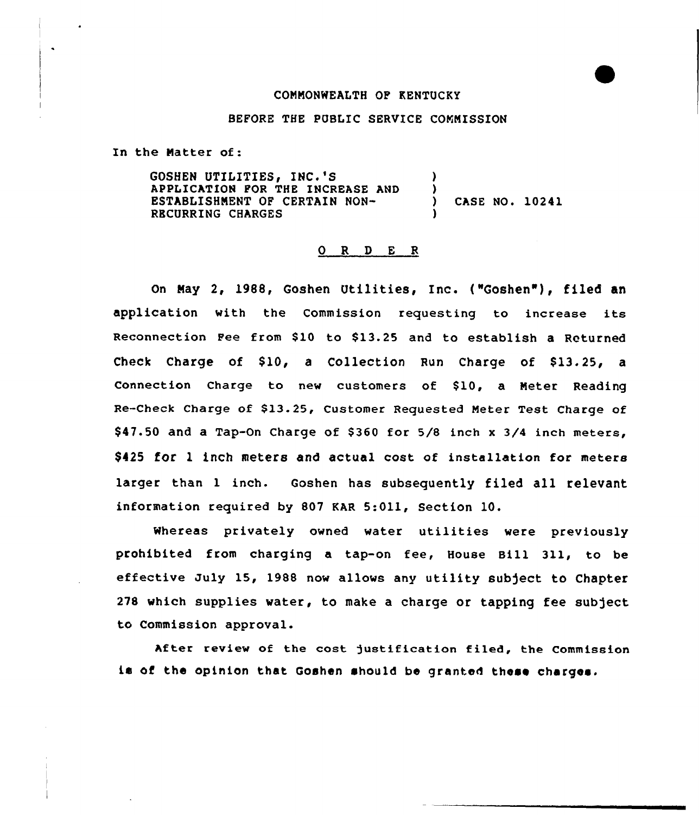#### CONNONWEALTH OF KENTUCKY

#### BEFORE THE PUBLIC SERVICE COMMISSION

In the Natter of:

GOSHEN UTILITIES, INC.'S APPLICATION FOR THE INCREASE AND ESTABLISHNENT OF CERTAIN NON-RBCURRING CHARGES ) ) ) CASE NO. 10241 )

## O R D E R

On May 2, 1988, Goshen Utilities, Inc. {"Goshen"), filed an application with the Commission requesting to increase its Reconnection Fee from \$10 to \$13.25 and to establish a Returned Check Charge of  $$10$ , a Collection Run Charge of  $$13.25$ , a Connection Charge to new customers of \$10, a Meter Reading Re-Check Charge of \$13.25, Customer Requested Meter Test Charge of \$47.50 and a Tap-On Charge of \$360 for  $5/8$  inch x  $3/4$  inch meters, \$425 for 1 inch meters and actual cost of installation for meters larger than <sup>1</sup> inch. Goshen has subsequently filed all relevant information required by 807 KAR 5:011, Section 10.

Whereas privately owned water utilities were previously prohibited from charging a tap-on fee, House Bill 311, to be effective July 15, 1988 now allows any utility subject to Chapter 278 which supplies water, to make a charge or tapping fee subject to Commission approval.

After review of the cost justification filed, the Commission is of the opinion that Goshen should be granted these charges.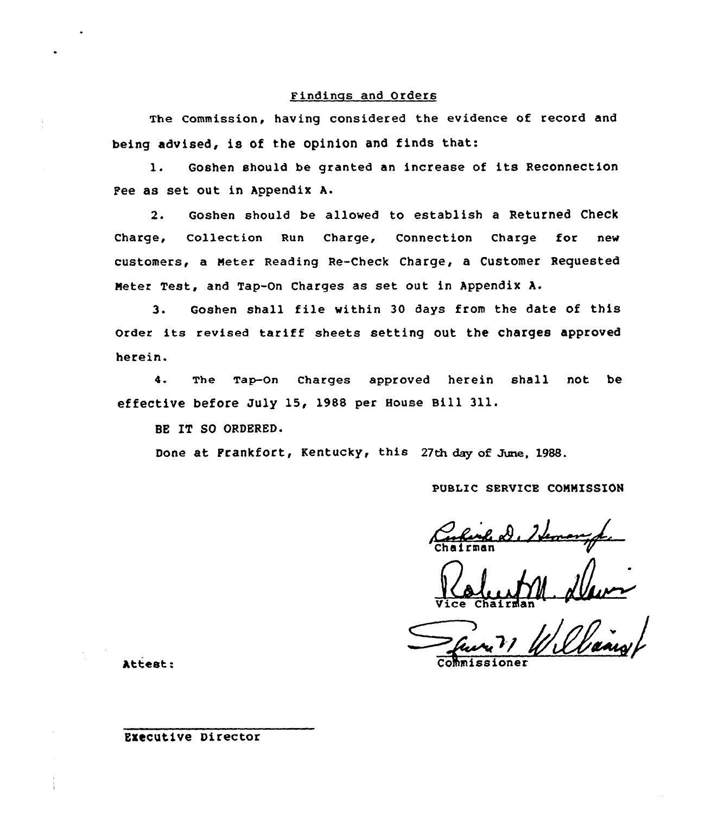## Findinzs and Orders

The Commission, having considered the evidence of record and being advised, is of the opinion and finds that:

1. Goshen should be granted an increase of its Reconnection Pee as set out in Appendix A.

2. Goshen should be allowed to establish a Returned Check Charge, Collection Run Charge, Connection Charge for new customers, a meter Reading Re-Check Charge, a Customer Requested Heter Test, and Tap-On Charges as set out in Appendix A.

3. Goshen shall file within 30 days from the date of this Order its revised tariff sheets setting out the charges approved herein.

4. The Tap-On Charges approved herein shall not be effective before July 15, 1988 per House Bill 311.

BE IT SO ORDERED.

Done at Frankfort, Kentucky, this 27th day of June, 1988.

PUBLIC SERVICE CONMISSION

A. )J

Suri 1 Williams

Attest:

### Executive Director